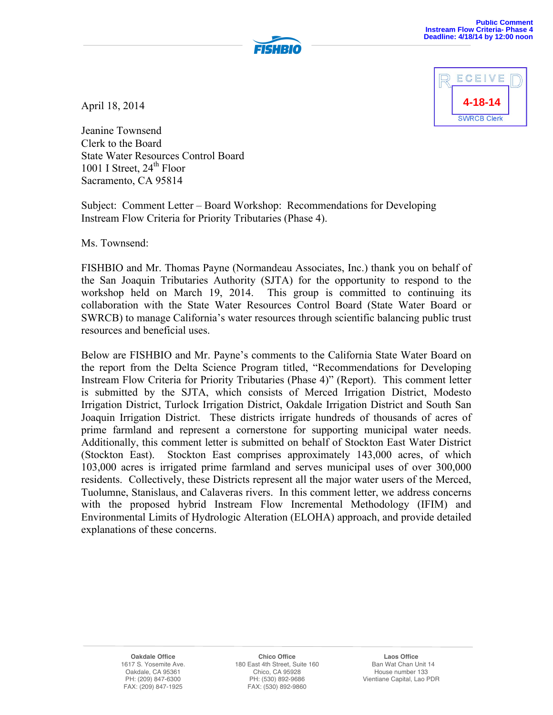



April 18, 2014

Jeanine Townsend Clerk to the Board State Water Resources Control Board 1001 I Street, 24<sup>th</sup> Floor Sacramento, CA 95814

Subject: Comment Letter – Board Workshop: Recommendations for Developing Instream Flow Criteria for Priority Tributaries (Phase 4).

Ms. Townsend:

FISHBIO and Mr. Thomas Payne (Normandeau Associates, Inc.) thank you on behalf of the San Joaquin Tributaries Authority (SJTA) for the opportunity to respond to the workshop held on March 19, 2014. This group is committed to continuing its collaboration with the State Water Resources Control Board (State Water Board or SWRCB) to manage California's water resources through scientific balancing public trust resources and beneficial uses.

Below are FISHBIO and Mr. Payne's comments to the California State Water Board on the report from the Delta Science Program titled, "Recommendations for Developing Instream Flow Criteria for Priority Tributaries (Phase 4)" (Report). This comment letter is submitted by the SJTA, which consists of Merced Irrigation District, Modesto Irrigation District, Turlock Irrigation District, Oakdale Irrigation District and South San Joaquin Irrigation District. These districts irrigate hundreds of thousands of acres of prime farmland and represent a cornerstone for supporting municipal water needs. Additionally, this comment letter is submitted on behalf of Stockton East Water District (Stockton East). Stockton East comprises approximately 143,000 acres, of which 103,000 acres is irrigated prime farmland and serves municipal uses of over 300,000 residents. Collectively, these Districts represent all the major water users of the Merced, Tuolumne, Stanislaus, and Calaveras rivers. In this comment letter, we address concerns with the proposed hybrid Instream Flow Incremental Methodology (IFIM) and Environmental Limits of Hydrologic Alteration (ELOHA) approach, and provide detailed explanations of these concerns.

> **Oakdale Office** 1617 S. Yosemite Ave. Oakdale, CA 95361 PH: (209) 847-6300 FAX: (209) 847-1925

**Chico Office** 180 East 4th Street, Suite 160 Chico, CA 95928 PH: (530) 892-9686 FAX: (530) 892-9860

**Laos Office** Ban Wat Chan Unit 14 House number 133 Vientiane Capital, Lao PDR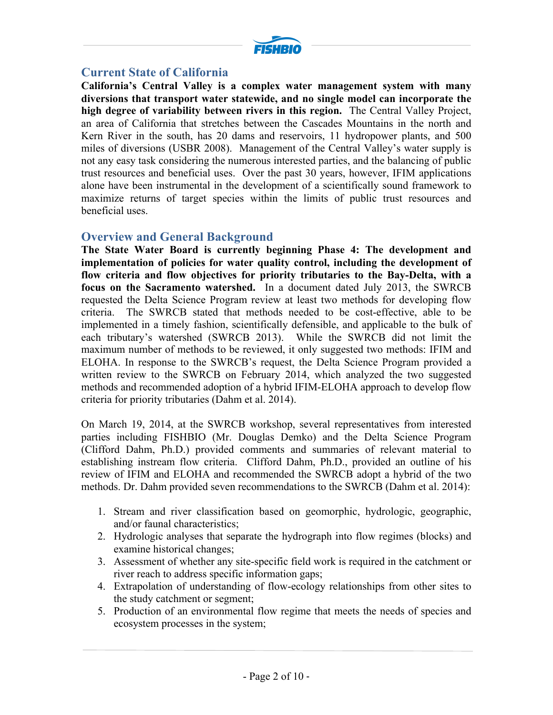

# **Current State of California**

**California's Central Valley is a complex water management system with many diversions that transport water statewide, and no single model can incorporate the high degree of variability between rivers in this region.** The Central Valley Project, an area of California that stretches between the Cascades Mountains in the north and Kern River in the south, has 20 dams and reservoirs, 11 hydropower plants, and 500 miles of diversions (USBR 2008). Management of the Central Valley's water supply is not any easy task considering the numerous interested parties, and the balancing of public trust resources and beneficial uses. Over the past 30 years, however, IFIM applications alone have been instrumental in the development of a scientifically sound framework to maximize returns of target species within the limits of public trust resources and beneficial uses.

### **Overview and General Background**

**The State Water Board is currently beginning Phase 4: The development and implementation of policies for water quality control, including the development of flow criteria and flow objectives for priority tributaries to the Bay-Delta, with a focus on the Sacramento watershed.** In a document dated July 2013, the SWRCB requested the Delta Science Program review at least two methods for developing flow criteria. The SWRCB stated that methods needed to be cost-effective, able to be implemented in a timely fashion, scientifically defensible, and applicable to the bulk of each tributary's watershed (SWRCB 2013). While the SWRCB did not limit the maximum number of methods to be reviewed, it only suggested two methods: IFIM and ELOHA. In response to the SWRCB's request, the Delta Science Program provided a written review to the SWRCB on February 2014, which analyzed the two suggested methods and recommended adoption of a hybrid IFIM-ELOHA approach to develop flow criteria for priority tributaries (Dahm et al. 2014).

On March 19, 2014, at the SWRCB workshop, several representatives from interested parties including FISHBIO (Mr. Douglas Demko) and the Delta Science Program (Clifford Dahm, Ph.D.) provided comments and summaries of relevant material to establishing instream flow criteria. Clifford Dahm, Ph.D., provided an outline of his review of IFIM and ELOHA and recommended the SWRCB adopt a hybrid of the two methods. Dr. Dahm provided seven recommendations to the SWRCB (Dahm et al. 2014):

- 1. Stream and river classification based on geomorphic, hydrologic, geographic, and/or faunal characteristics;
- 2. Hydrologic analyses that separate the hydrograph into flow regimes (blocks) and examine historical changes;
- 3. Assessment of whether any site-specific field work is required in the catchment or river reach to address specific information gaps;
- 4. Extrapolation of understanding of flow-ecology relationships from other sites to the study catchment or segment;
- 5. Production of an environmental flow regime that meets the needs of species and ecosystem processes in the system;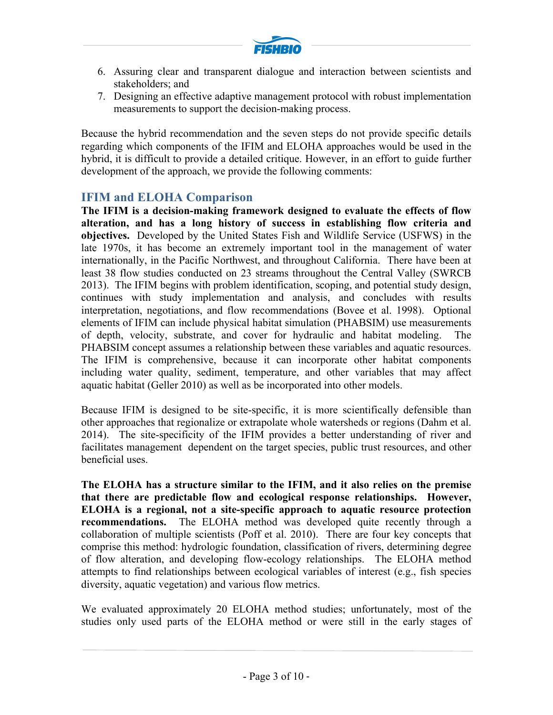

- 6. Assuring clear and transparent dialogue and interaction between scientists and stakeholders; and
- 7. Designing an effective adaptive management protocol with robust implementation measurements to support the decision-making process.

Because the hybrid recommendation and the seven steps do not provide specific details regarding which components of the IFIM and ELOHA approaches would be used in the hybrid, it is difficult to provide a detailed critique. However, in an effort to guide further development of the approach, we provide the following comments:

## **IFIM and ELOHA Comparison**

**The IFIM is a decision-making framework designed to evaluate the effects of flow alteration, and has a long history of success in establishing flow criteria and objectives.** Developed by the United States Fish and Wildlife Service (USFWS) in the late 1970s, it has become an extremely important tool in the management of water internationally, in the Pacific Northwest, and throughout California. There have been at least 38 flow studies conducted on 23 streams throughout the Central Valley (SWRCB 2013). The IFIM begins with problem identification, scoping, and potential study design, continues with study implementation and analysis, and concludes with results interpretation, negotiations, and flow recommendations (Bovee et al. 1998). Optional elements of IFIM can include physical habitat simulation (PHABSIM) use measurements of depth, velocity, substrate, and cover for hydraulic and habitat modeling. The PHABSIM concept assumes a relationship between these variables and aquatic resources. The IFIM is comprehensive, because it can incorporate other habitat components including water quality, sediment, temperature, and other variables that may affect aquatic habitat (Geller 2010) as well as be incorporated into other models.

Because IFIM is designed to be site-specific, it is more scientifically defensible than other approaches that regionalize or extrapolate whole watersheds or regions (Dahm et al. 2014). The site-specificity of the IFIM provides a better understanding of river and facilitates management dependent on the target species, public trust resources, and other beneficial uses.

**The ELOHA has a structure similar to the IFIM, and it also relies on the premise that there are predictable flow and ecological response relationships. However, ELOHA is a regional, not a site-specific approach to aquatic resource protection recommendations.** The ELOHA method was developed quite recently through a collaboration of multiple scientists (Poff et al. 2010). There are four key concepts that comprise this method: hydrologic foundation, classification of rivers, determining degree of flow alteration, and developing flow-ecology relationships. The ELOHA method attempts to find relationships between ecological variables of interest (e.g., fish species diversity, aquatic vegetation) and various flow metrics.

We evaluated approximately 20 ELOHA method studies; unfortunately, most of the studies only used parts of the ELOHA method or were still in the early stages of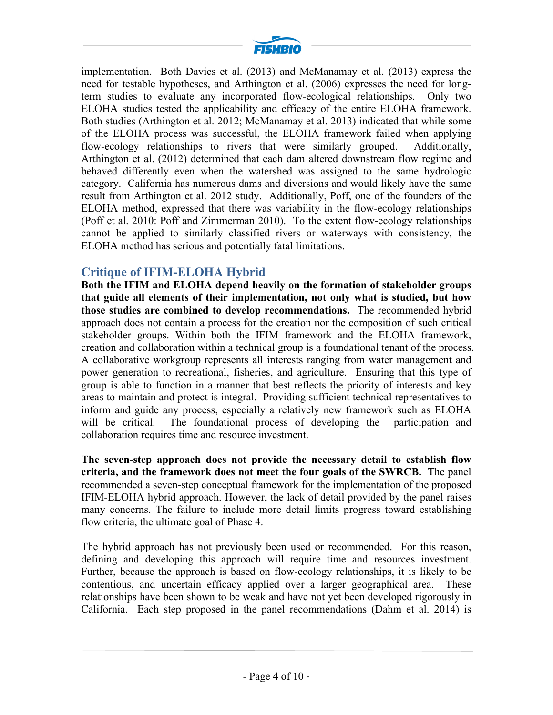

implementation. Both Davies et al. (2013) and McManamay et al. (2013) express the need for testable hypotheses, and Arthington et al. (2006) expresses the need for longterm studies to evaluate any incorporated flow-ecological relationships. Only two ELOHA studies tested the applicability and efficacy of the entire ELOHA framework. Both studies (Arthington et al. 2012; McManamay et al. 2013) indicated that while some of the ELOHA process was successful, the ELOHA framework failed when applying flow-ecology relationships to rivers that were similarly grouped. Additionally, Arthington et al. (2012) determined that each dam altered downstream flow regime and behaved differently even when the watershed was assigned to the same hydrologic category. California has numerous dams and diversions and would likely have the same result from Arthington et al. 2012 study. Additionally, Poff, one of the founders of the ELOHA method, expressed that there was variability in the flow-ecology relationships (Poff et al. 2010: Poff and Zimmerman 2010). To the extent flow-ecology relationships cannot be applied to similarly classified rivers or waterways with consistency, the ELOHA method has serious and potentially fatal limitations.

## **Critique of IFIM-ELOHA Hybrid**

**Both the IFIM and ELOHA depend heavily on the formation of stakeholder groups that guide all elements of their implementation, not only what is studied, but how those studies are combined to develop recommendations.** The recommended hybrid approach does not contain a process for the creation nor the composition of such critical stakeholder groups. Within both the IFIM framework and the ELOHA framework, creation and collaboration within a technical group is a foundational tenant of the process. A collaborative workgroup represents all interests ranging from water management and power generation to recreational, fisheries, and agriculture. Ensuring that this type of group is able to function in a manner that best reflects the priority of interests and key areas to maintain and protect is integral. Providing sufficient technical representatives to inform and guide any process, especially a relatively new framework such as ELOHA will be critical. The foundational process of developing the participation and collaboration requires time and resource investment.

**The seven-step approach does not provide the necessary detail to establish flow criteria, and the framework does not meet the four goals of the SWRCB.** The panel recommended a seven-step conceptual framework for the implementation of the proposed IFIM-ELOHA hybrid approach. However, the lack of detail provided by the panel raises many concerns. The failure to include more detail limits progress toward establishing flow criteria, the ultimate goal of Phase 4.

The hybrid approach has not previously been used or recommended. For this reason, defining and developing this approach will require time and resources investment. Further, because the approach is based on flow-ecology relationships, it is likely to be contentious, and uncertain efficacy applied over a larger geographical area. These relationships have been shown to be weak and have not yet been developed rigorously in California. Each step proposed in the panel recommendations (Dahm et al. 2014) is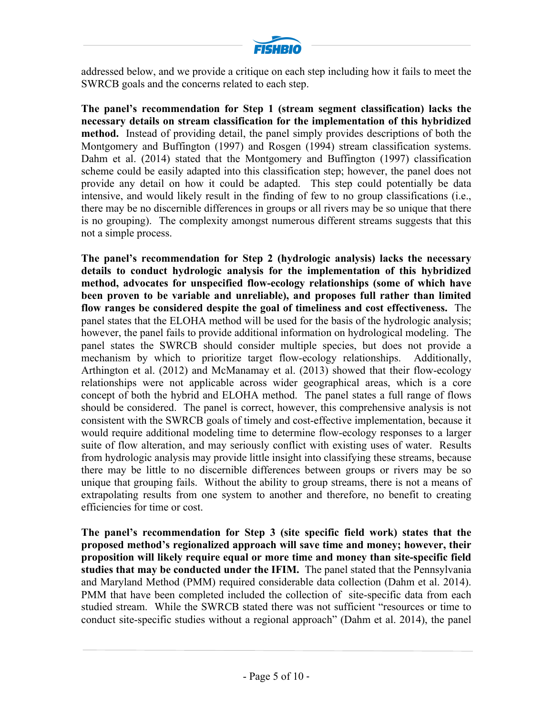

addressed below, and we provide a critique on each step including how it fails to meet the SWRCB goals and the concerns related to each step.

**The panel's recommendation for Step 1 (stream segment classification) lacks the necessary details on stream classification for the implementation of this hybridized method.** Instead of providing detail, the panel simply provides descriptions of both the Montgomery and Buffington (1997) and Rosgen (1994) stream classification systems. Dahm et al. (2014) stated that the Montgomery and Buffington (1997) classification scheme could be easily adapted into this classification step; however, the panel does not provide any detail on how it could be adapted. This step could potentially be data intensive, and would likely result in the finding of few to no group classifications (i.e., there may be no discernible differences in groups or all rivers may be so unique that there is no grouping). The complexity amongst numerous different streams suggests that this not a simple process.

**The panel's recommendation for Step 2 (hydrologic analysis) lacks the necessary details to conduct hydrologic analysis for the implementation of this hybridized method, advocates for unspecified flow-ecology relationships (some of which have been proven to be variable and unreliable), and proposes full rather than limited flow ranges be considered despite the goal of timeliness and cost effectiveness.** The panel states that the ELOHA method will be used for the basis of the hydrologic analysis; however, the panel fails to provide additional information on hydrological modeling. The panel states the SWRCB should consider multiple species, but does not provide a mechanism by which to prioritize target flow-ecology relationships. Additionally, Arthington et al. (2012) and McManamay et al. (2013) showed that their flow-ecology relationships were not applicable across wider geographical areas, which is a core concept of both the hybrid and ELOHA method. The panel states a full range of flows should be considered. The panel is correct, however, this comprehensive analysis is not consistent with the SWRCB goals of timely and cost-effective implementation, because it would require additional modeling time to determine flow-ecology responses to a larger suite of flow alteration, and may seriously conflict with existing uses of water. Results from hydrologic analysis may provide little insight into classifying these streams, because there may be little to no discernible differences between groups or rivers may be so unique that grouping fails. Without the ability to group streams, there is not a means of extrapolating results from one system to another and therefore, no benefit to creating efficiencies for time or cost.

**The panel's recommendation for Step 3 (site specific field work) states that the proposed method's regionalized approach will save time and money; however, their proposition will likely require equal or more time and money than site-specific field studies that may be conducted under the IFIM.** The panel stated that the Pennsylvania and Maryland Method (PMM) required considerable data collection (Dahm et al. 2014). PMM that have been completed included the collection of site-specific data from each studied stream. While the SWRCB stated there was not sufficient "resources or time to conduct site-specific studies without a regional approach" (Dahm et al. 2014), the panel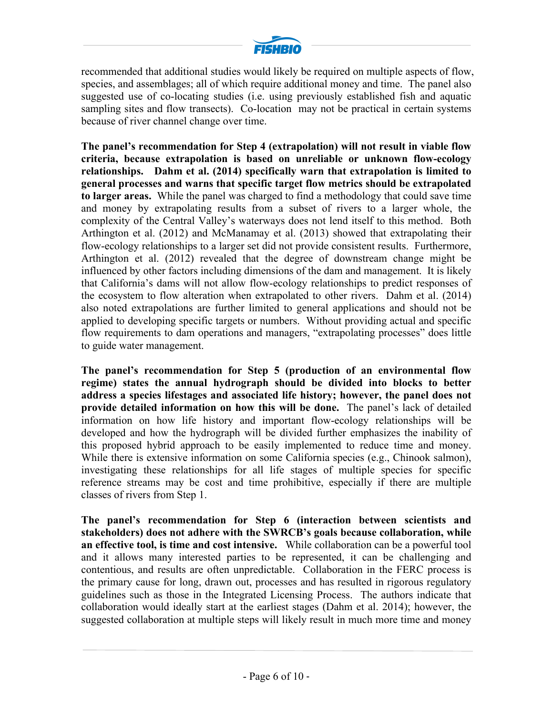

recommended that additional studies would likely be required on multiple aspects of flow, species, and assemblages; all of which require additional money and time. The panel also suggested use of co-locating studies (i.e. using previously established fish and aquatic sampling sites and flow transects). Co-location may not be practical in certain systems because of river channel change over time.

**The panel's recommendation for Step 4 (extrapolation) will not result in viable flow criteria, because extrapolation is based on unreliable or unknown flow-ecology relationships. Dahm et al. (2014) specifically warn that extrapolation is limited to general processes and warns that specific target flow metrics should be extrapolated to larger areas.** While the panel was charged to find a methodology that could save time and money by extrapolating results from a subset of rivers to a larger whole, the complexity of the Central Valley's waterways does not lend itself to this method. Both Arthington et al. (2012) and McManamay et al. (2013) showed that extrapolating their flow-ecology relationships to a larger set did not provide consistent results. Furthermore, Arthington et al. (2012) revealed that the degree of downstream change might be influenced by other factors including dimensions of the dam and management. It is likely that California's dams will not allow flow-ecology relationships to predict responses of the ecosystem to flow alteration when extrapolated to other rivers. Dahm et al. (2014) also noted extrapolations are further limited to general applications and should not be applied to developing specific targets or numbers. Without providing actual and specific flow requirements to dam operations and managers, "extrapolating processes" does little to guide water management.

**The panel's recommendation for Step 5 (production of an environmental flow regime) states the annual hydrograph should be divided into blocks to better address a species lifestages and associated life history; however, the panel does not provide detailed information on how this will be done.** The panel's lack of detailed information on how life history and important flow-ecology relationships will be developed and how the hydrograph will be divided further emphasizes the inability of this proposed hybrid approach to be easily implemented to reduce time and money. While there is extensive information on some California species (e.g., Chinook salmon), investigating these relationships for all life stages of multiple species for specific reference streams may be cost and time prohibitive, especially if there are multiple classes of rivers from Step 1.

**The panel's recommendation for Step 6 (interaction between scientists and stakeholders) does not adhere with the SWRCB's goals because collaboration, while an effective tool, is time and cost intensive.** While collaboration can be a powerful tool and it allows many interested parties to be represented, it can be challenging and contentious, and results are often unpredictable. Collaboration in the FERC process is the primary cause for long, drawn out, processes and has resulted in rigorous regulatory guidelines such as those in the Integrated Licensing Process. The authors indicate that collaboration would ideally start at the earliest stages (Dahm et al. 2014); however, the suggested collaboration at multiple steps will likely result in much more time and money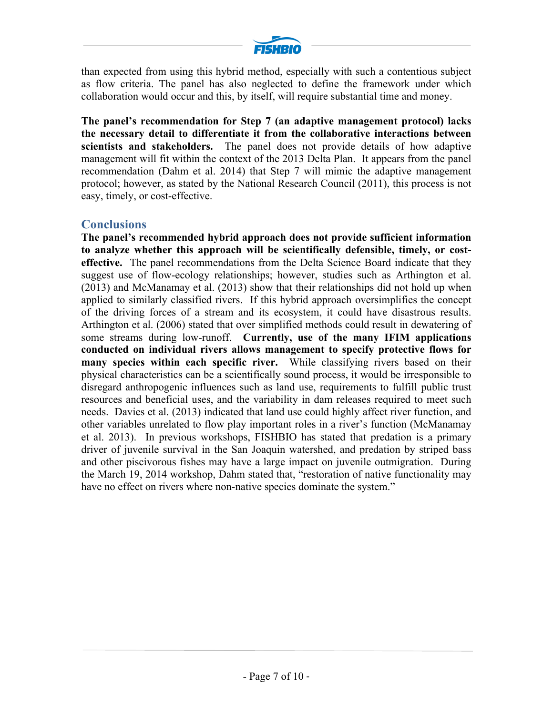

than expected from using this hybrid method, especially with such a contentious subject as flow criteria. The panel has also neglected to define the framework under which collaboration would occur and this, by itself, will require substantial time and money.

**The panel's recommendation for Step 7 (an adaptive management protocol) lacks the necessary detail to differentiate it from the collaborative interactions between scientists and stakeholders.** The panel does not provide details of how adaptive management will fit within the context of the 2013 Delta Plan. It appears from the panel recommendation (Dahm et al. 2014) that Step 7 will mimic the adaptive management protocol; however, as stated by the National Research Council (2011), this process is not easy, timely, or cost-effective.

## **Conclusions**

**The panel's recommended hybrid approach does not provide sufficient information to analyze whether this approach will be scientifically defensible, timely, or costeffective.** The panel recommendations from the Delta Science Board indicate that they suggest use of flow-ecology relationships; however, studies such as Arthington et al. (2013) and McManamay et al. (2013) show that their relationships did not hold up when applied to similarly classified rivers. If this hybrid approach oversimplifies the concept of the driving forces of a stream and its ecosystem, it could have disastrous results. Arthington et al. (2006) stated that over simplified methods could result in dewatering of some streams during low-runoff. **Currently, use of the many IFIM applications conducted on individual rivers allows management to specify protective flows for many species within each specific river.** While classifying rivers based on their physical characteristics can be a scientifically sound process, it would be irresponsible to disregard anthropogenic influences such as land use, requirements to fulfill public trust resources and beneficial uses, and the variability in dam releases required to meet such needs. Davies et al. (2013) indicated that land use could highly affect river function, and other variables unrelated to flow play important roles in a river's function (McManamay et al. 2013). In previous workshops, FISHBIO has stated that predation is a primary driver of juvenile survival in the San Joaquin watershed, and predation by striped bass and other piscivorous fishes may have a large impact on juvenile outmigration. During the March 19, 2014 workshop, Dahm stated that, "restoration of native functionality may have no effect on rivers where non-native species dominate the system."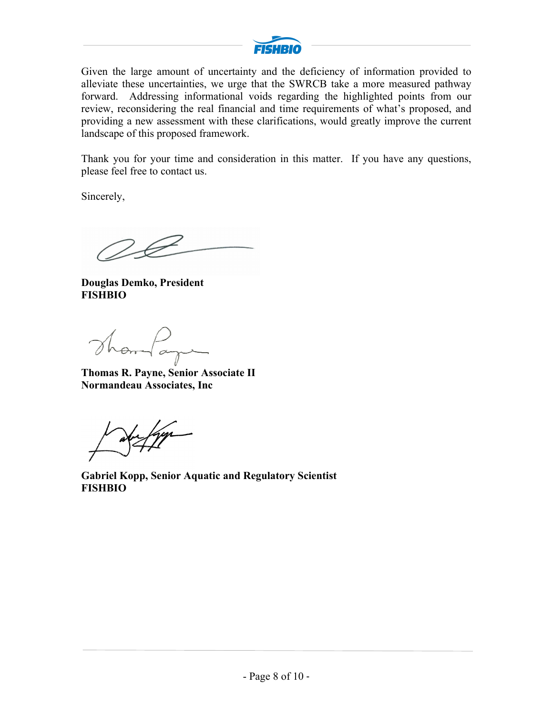

Given the large amount of uncertainty and the deficiency of information provided to alleviate these uncertainties, we urge that the SWRCB take a more measured pathway forward. Addressing informational voids regarding the highlighted points from our review, reconsidering the real financial and time requirements of what's proposed, and providing a new assessment with these clarifications, would greatly improve the current landscape of this proposed framework.

Thank you for your time and consideration in this matter. If you have any questions, please feel free to contact us.

Sincerely,

F \_

**Douglas Demko, President FISHBIO**

Thomas

**Thomas R. Payne, Senior Associate II Normandeau Associates, Inc**

aberfage

**Gabriel Kopp, Senior Aquatic and Regulatory Scientist FISHBIO**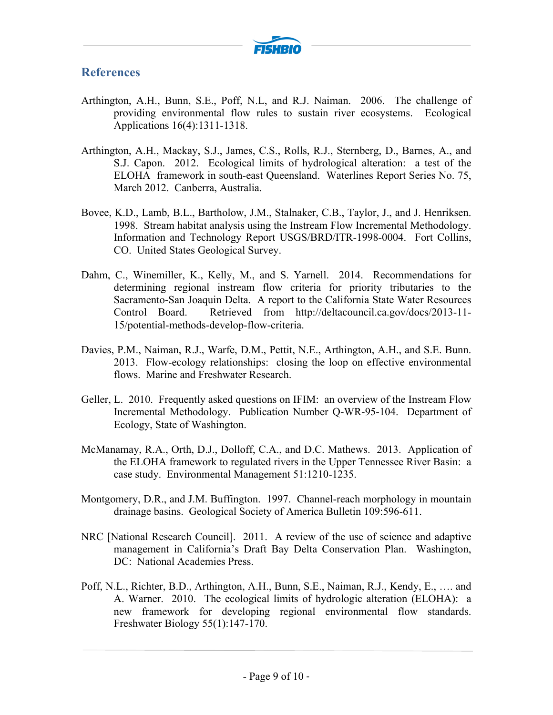

## **References**

- Arthington, A.H., Bunn, S.E., Poff, N.L, and R.J. Naiman. 2006. The challenge of providing environmental flow rules to sustain river ecosystems. Ecological Applications 16(4):1311-1318.
- Arthington, A.H., Mackay, S.J., James, C.S., Rolls, R.J., Sternberg, D., Barnes, A., and S.J. Capon. 2012. Ecological limits of hydrological alteration: a test of the ELOHA framework in south-east Queensland. Waterlines Report Series No. 75, March 2012. Canberra, Australia.
- Bovee, K.D., Lamb, B.L., Bartholow, J.M., Stalnaker, C.B., Taylor, J., and J. Henriksen. 1998. Stream habitat analysis using the Instream Flow Incremental Methodology. Information and Technology Report USGS/BRD/ITR-1998-0004. Fort Collins, CO. United States Geological Survey.
- Dahm, C., Winemiller, K., Kelly, M., and S. Yarnell. 2014. Recommendations for determining regional instream flow criteria for priority tributaries to the Sacramento-San Joaquin Delta. A report to the California State Water Resources Control Board. Retrieved from http://deltacouncil.ca.gov/docs/2013-11- 15/potential-methods-develop-flow-criteria.
- Davies, P.M., Naiman, R.J., Warfe, D.M., Pettit, N.E., Arthington, A.H., and S.E. Bunn. 2013. Flow-ecology relationships: closing the loop on effective environmental flows. Marine and Freshwater Research.
- Geller, L. 2010. Frequently asked questions on IFIM: an overview of the Instream Flow Incremental Methodology. Publication Number Q-WR-95-104. Department of Ecology, State of Washington.
- McManamay, R.A., Orth, D.J., Dolloff, C.A., and D.C. Mathews. 2013. Application of the ELOHA framework to regulated rivers in the Upper Tennessee River Basin: a case study. Environmental Management 51:1210-1235.
- Montgomery, D.R., and J.M. Buffington. 1997. Channel-reach morphology in mountain drainage basins. Geological Society of America Bulletin 109:596-611.
- NRC [National Research Council]. 2011. A review of the use of science and adaptive management in California's Draft Bay Delta Conservation Plan. Washington, DC: National Academies Press.
- Poff, N.L., Richter, B.D., Arthington, A.H., Bunn, S.E., Naiman, R.J., Kendy, E., …. and A. Warner. 2010. The ecological limits of hydrologic alteration (ELOHA): a new framework for developing regional environmental flow standards. Freshwater Biology 55(1):147-170.